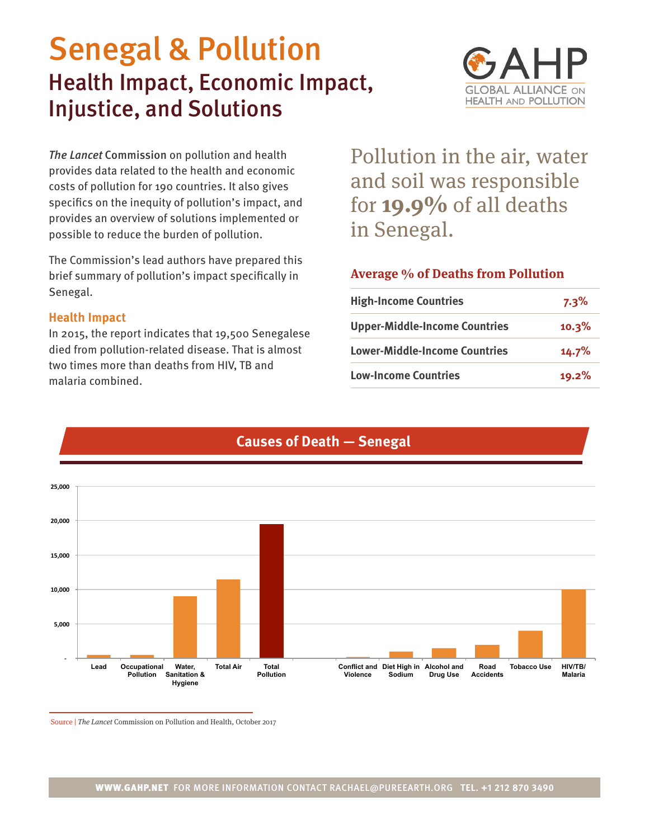# Senegal & Pollution Health Impact, Economic Impact, Injustice, and Solutions



*The Lancet* Commission on pollution and health provides data related to the health and economic costs of pollution for 190 countries. It also gives specifics on the inequity of pollution's impact, and provides an overview of solutions implemented or possible to reduce the burden of pollution.

The Commission's lead authors have prepared this brief summary of pollution's impact specifically in Senegal.

### **Health Impact**

In 2015, the report indicates that 19,500 Senegalese died from pollution-related disease. That is almost two times more than deaths from HIV, TB and malaria combined.

Pollution in the air, water and soil was responsible for **19.9%** of all deaths in Senegal.

## **Average % of Deaths from Pollution**

| <b>High-Income Countries</b>         | $7.3\%$ |
|--------------------------------------|---------|
| <b>Upper-Middle-Income Countries</b> | 10.3%   |
| <b>Lower-Middle-Income Countries</b> | 14.7%   |
| <b>Low-Income Countries</b>          | 19.2%   |



# **Causes of Death — Senegal**

Source | The Lancet Commission on Pollution and Health, October 2017